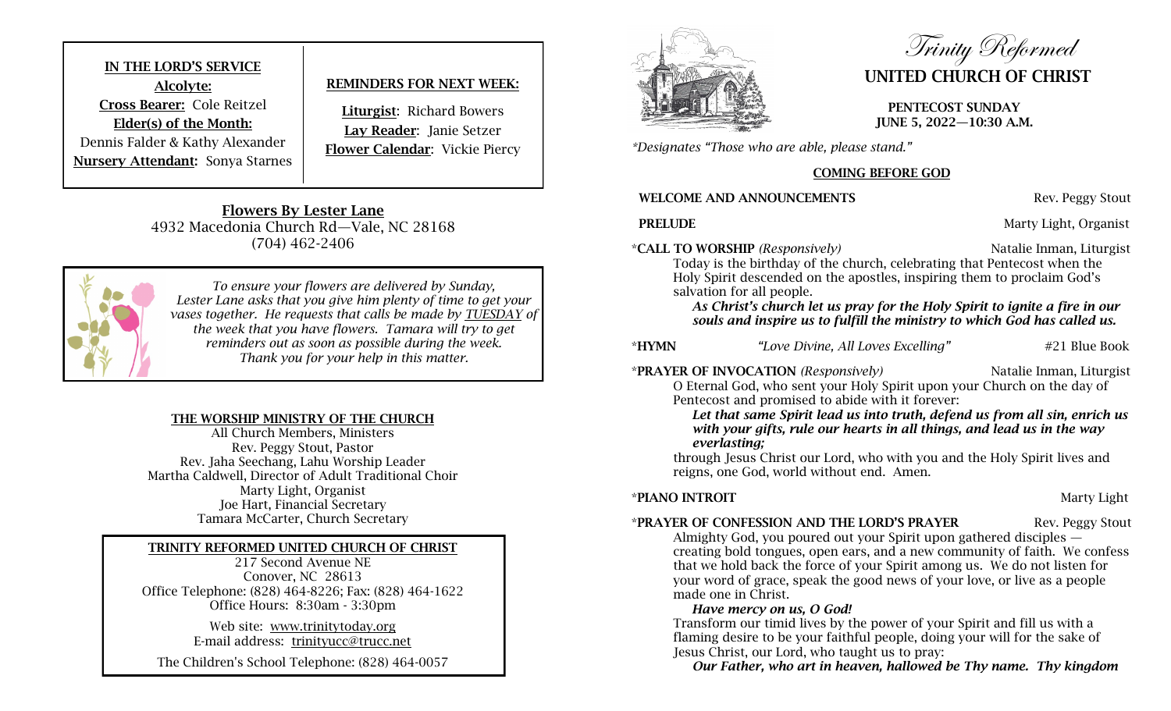## **IN THE LORD'S SERVICE Alcolyte: Cross Bearer:** Cole Reitzel **Elder(s) of the Month:** Dennis Falder & Kathy Alexander **Nursery Attendant:** Sonya Starnes

### **REMINDERS FOR NEXT WEEK:**

**Liturgist**: Richard Bowers **Lay Reader**: Janie Setzer **Flower Calendar**: Vickie Piercy

**Flowers By Lester Lane** 4932 Macedonia Church Rd—Vale, NC 28168 (704) 462-2406



*To ensure your flowers are delivered by Sunday, Lester Lane asks that you give him plenty of time to get your vases together. He requests that calls be made by TUESDAY of the week that you have flowers. Tamara will try to get reminders out as soon as possible during the week. Thank you for your help in this matter.*

#### **THE WORSHIP MINISTRY OF THE CHURCH**

All Church Members, Ministers Rev. Peggy Stout, Pastor Rev. Jaha Seechang, Lahu Worship Leader Martha Caldwell, Director of Adult Traditional Choir Marty Light, Organist Joe Hart, Financial Secretary Tamara McCarter, Church Secretary

#### **TRINITY REFORMED UNITED CHURCH OF CHRIST**

217 Second Avenue NE Conover, NC 28613 Office Telephone: (828) 464-8226; Fax: (828) 464-1622 Office Hours: 8:30am - 3:30pm

> Web site: www.trinitytoday.org E-mail address: trinityucc@trucc.net

The Children's School Telephone: (828) 464-0057



Trinity Reformed **UNITED CHURCH OF CHRIST**

**PENTECOST SUNDAY JUNE 5, 2022—10:30 A.M.**

*\*Designates "Those who are able, please stand."*

#### **COMING BEFORE GOD**

#### **WELCOME AND ANNOUNCEMENTS** Rev. Peggy Stout

**PRELUDE Marty Light, Organist** 

\***CALL TO WORSHIP** *(Responsively)* Natalie Inman, Liturgist Today is the birthday of the church, celebrating that Pentecost when the Holy Spirit descended on the apostles, inspiring them to proclaim God's salvation for all people.

 *As Christ's church let us pray for the Holy Spirit to ignite a fire in our souls and inspire us to fulfill the ministry to which God has called us.*

\***HYMN** *"Love Divine, All Loves Excelling"* #21 Blue Book

\***PRAYER OF INVOCATION** *(Responsively)* Natalie Inman, Liturgist

O Eternal God, who sent your Holy Spirit upon your Church on the day of Pentecost and promised to abide with it forever:

 *Let that same Spirit lead us into truth, defend us from all sin, enrich us with your gifts, rule our hearts in all things, and lead us in the way everlasting;*

through Jesus Christ our Lord, who with you and the Holy Spirit lives and reigns, one God, world without end. Amen.

#### \***PIANO INTROIT** Marty Light

#### \***PRAYER OF CONFESSION AND THE LORD'S PRAYER** Rev. Peggy Stout

Almighty God, you poured out your Spirit upon gathered disciples creating bold tongues, open ears, and a new community of faith. We confess that we hold back the force of your Spirit among us. We do not listen for your word of grace, speak the good news of your love, or live as a people made one in Christ.

#### *Have mercy on us, O God!*

Transform our timid lives by the power of your Spirit and fill us with a flaming desire to be your faithful people, doing your will for the sake of Jesus Christ, our Lord, who taught us to pray:

 *Our Father, who art in heaven, hallowed be Thy name. Thy kingdom*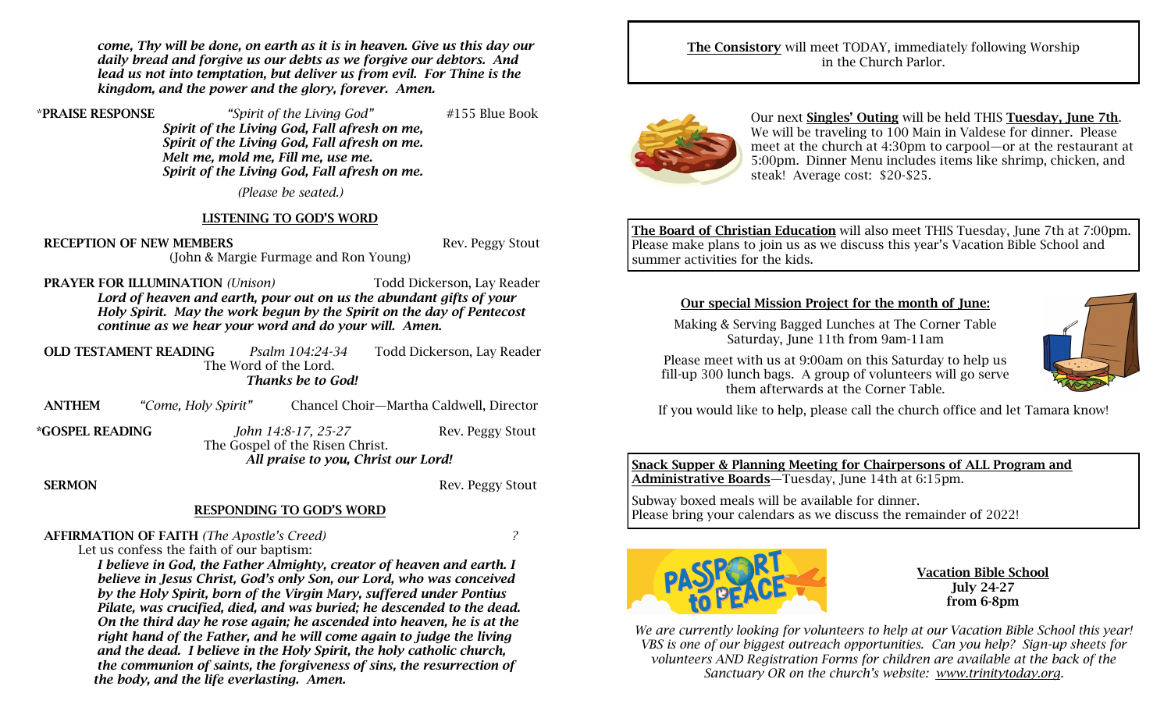*come, Thy will be done, on earth as it is in heaven. Give us this day our daily bread and forgive us our debts as we forgive our debtors. And lead us not into temptation, but deliver us from evil. For Thine is the kingdom, and the power and the glory, forever. Amen.* 

#### \***PRAISE RESPONSE** *"Spirit of the Living God"* #155 Blue Book

*Spirit of the Living God, Fall afresh on me, Spirit of the Living God, Fall afresh on me. Melt me, mold me, Fill me, use me. Spirit of the Living God, Fall afresh on me.*

*(Please be seated.)*

#### **LISTENING TO GOD'S WORD**

**RECEPTION OF NEW MEMBERS** Rev. Peggy Stout

(John & Margie Furmage and Ron Young)

 **PRAYER FOR ILLUMINATION** *(Unison)* Todd Dickerson, Lay Reader *Lord of heaven and earth, pour out on us the abundant gifts of your Holy Spirit. May the work begun by the Spirit on the day of Pentecost continue as we hear your word and do your will. Amen.*

 **OLD TESTAMENT READING** *Psalm 104:24-34* Todd Dickerson, Lay Reader The Word of the Lord. *Thanks be to God!*

**ANTHEM** *"Come, Holy Spirit"* Chancel Choir—Martha Caldwell, Director

**\*GOSPEL READING** *John 14:8-17, 25-27* Rev. Peggy Stout

The Gospel of the Risen Christ. *All praise to you, Christ our Lord!*

**SERMON** Rev. Peggy Stout

#### **RESPONDING TO GOD'S WORD**

#### **AFFIRMATION OF FAITH** *(The Apostle's Creed) ?*

Let us confess the faith of our baptism:

 *I believe in God, the Father Almighty, creator of heaven and earth. I believe in Jesus Christ, God's only Son, our Lord, who was conceived by the Holy Spirit, born of the Virgin Mary, suffered under Pontius Pilate, was crucified, died, and was buried; he descended to the dead. On the third day he rose again; he ascended into heaven, he is at the right hand of the Father, and he will come again to judge the living and the dead. I believe in the Holy Spirit, the holy catholic church, the communion of saints, the forgiveness of sins, the resurrection of the body, and the life everlasting. Amen.* 

**The Consistory** will meet TODAY, immediately following Worship in the Church Parlor.



Our next **Singles' Outing** will be held THIS **Tuesday, June 7th**. We will be traveling to 100 Main in Valdese for dinner. Please meet at the church at 4:30pm to carpool—or at the restaurant at 5:00pm. Dinner Menu includes items like shrimp, chicken, and steak! Average cost: \$20-\$25.

**The Board of Christian Education** will also meet THIS Tuesday, June 7th at 7:00pm. Please make plans to join us as we discuss this year's Vacation Bible School and summer activities for the kids.

#### **Our special Mission Project for the month of June:**

Making & Serving Bagged Lunches at The Corner Table Saturday, June 11th from 9am-11am



Please meet with us at 9:00am on this Saturday to help us fill-up 300 lunch bags. A group of volunteers will go serve them afterwards at the Corner Table.

If you would like to help, please call the church office and let Tamara know!

**Snack Supper & Planning Meeting for Chairpersons of ALL Program and Administrative Boards**—Tuesday, June 14th at 6:15pm.

Subway boxed meals will be available for dinner. Please bring your calendars as we discuss the remainder of 2022!



**Vacation Bible School July 24-27 from 6-8pm**

*We are currently looking for volunteers to help at our Vacation Bible School this year! VBS is one of our biggest outreach opportunities. Can you help? Sign-up sheets for volunteers AND Registration Forms for children are available at the back of the Sanctuary OR on the church's website: www.trinitytoday.org.*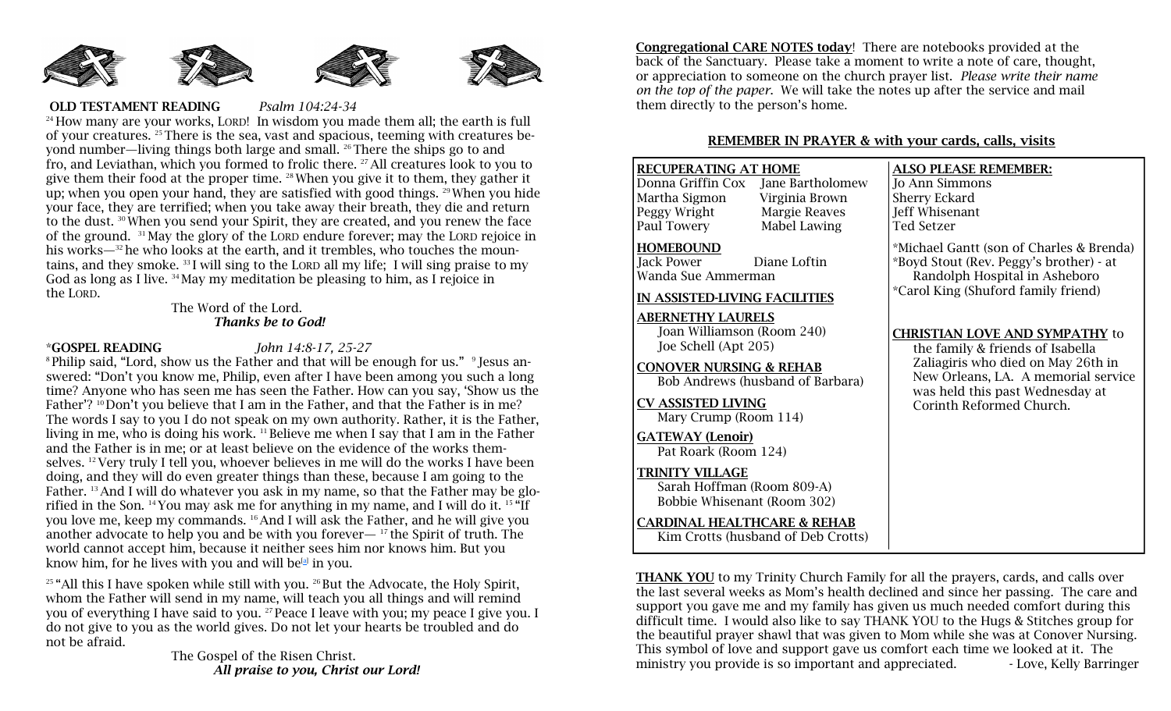







**OLD TESTAMENT READING** *Psalm 104:24-34*

 $24$  How many are your works. LORD! In wisdom you made them all; the earth is full of your creatures. 25There is the sea, vast and spacious, teeming with creatures beyond number—living things both large and small. <sup>26</sup>There the ships go to and fro, and Leviathan, which you formed to frolic there. <sup>27</sup> All creatures look to you to give them their food at the proper time. <sup>28</sup> When you give it to them, they gather it up; when you open your hand, they are satisfied with good things. <sup>29</sup>When you hide your face, they are terrified; when you take away their breath, they die and return to the dust. <sup>30</sup> When you send your Spirit, they are created, and you renew the face of the ground. <sup>31</sup> May the glory of the LORD endure forever; may the LORD rejoice in his works—<sup>32</sup> he who looks at the earth, and it trembles, who touches the mountains, and they smoke. <sup>33</sup> I will sing to the LORD all my life; I will sing praise to my God as long as I live. <sup>34</sup> May my meditation be pleasing to him, as I rejoice in the LORD.

The Word of the Lord. *Thanks be to God!*

\***GOSPEL READING** *John 14:8-17, 25-27*

 $8$ Philip said, "Lord, show us the Father and that will be enough for us."  $9$  Jesus answered: "Don't you know me, Philip, even after I have been among you such a long time? Anyone who has seen me has seen the Father. How can you say, 'Show us the Father'? <sup>10</sup>Don't you believe that I am in the Father, and that the Father is in me? The words I say to you I do not speak on my own authority. Rather, it is the Father, living in me, who is doing his work. <sup>11</sup> Believe me when I say that I am in the Father and the Father is in me; or at least believe on the evidence of the works themselves. <sup>12</sup>Very truly I tell you, whoever believes in me will do the works I have been doing, and they will do even greater things than these, because I am going to the Father. <sup>13</sup> And I will do whatever you ask in my name, so that the Father may be glorified in the Son. <sup>14</sup>You may ask me for anything in my name, and I will do it. <sup>15</sup> "If you love me, keep my commands. <sup>16</sup>And I will ask the Father, and he will give you another advocate to help you and be with you forever— $17$  the Spirit of truth. The world cannot accept him, because it neither sees him nor knows him. But you know him, for he lives with you and will be<sup>[[a\]](https://www.biblegateway.com/passage/?search=John+14%3A8-17&version=NIV#fen-NIV-26686a)</sup> in you.

 $25$  "All this I have spoken while still with you.  $26$  But the Advocate, the Holy Spirit, whom the Father will send in my name, will teach you all things and will remind you of everything I have said to you. <sup>27</sup> Peace I leave with you; my peace I give you. I do not give to you as the world gives. Do not let your hearts be troubled and do not be afraid.

The Gospel of the Risen Christ. *All praise to you, Christ our Lord!* **Congregational CARE NOTES today**! There are notebooks provided at the back of the Sanctuary. Please take a moment to write a note of care, thought, or appreciation to someone on the church prayer list. *Please write their name on the top of the paper*. We will take the notes up after the service and mail them directly to the person's home.

#### **REMEMBER IN PRAYER & with your cards, calls, visits**

| <b>RECUPERATING AT HOME</b><br>Donna Griffin Cox<br><b>Jane Bartholomew</b><br>Martha Sigmon<br>Virginia Brown<br>Peggy Wright<br><b>Margie Reaves</b><br>Paul Towery<br>Mabel Lawing                                                     | <b>ALSO PLEASE REMEMBER:</b><br><b>Jo Ann Simmons</b><br><b>Sherry Eckard</b><br>Jeff Whisenant<br><b>Ted Setzer</b>                                                                                                  |  |
|-------------------------------------------------------------------------------------------------------------------------------------------------------------------------------------------------------------------------------------------|-----------------------------------------------------------------------------------------------------------------------------------------------------------------------------------------------------------------------|--|
| <b>HOMEBOUND</b><br><b>Jack Power</b><br>Diane Loftin<br>Wanda Sue Ammerman<br><b>IN ASSISTED-LIVING FACILITIES</b>                                                                                                                       | *Michael Gantt (son of Charles & Brenda)<br>*Boyd Stout (Rev. Peggy's brother) - at<br>Randolph Hospital in Asheboro<br><i>*</i> Carol King (Shuford family friend)                                                   |  |
| <b>ABERNETHY LAURELS</b><br>Joan Williamson (Room 240)<br>Joe Schell (Apt 205)<br><b>CONOVER NURSING &amp; REHAB</b><br>Bob Andrews (husband of Barbara)<br><b>CV ASSISTED LIVING</b><br>Mary Crump (Room 114)<br><b>GATEWAY (Lenoir)</b> | <b>CHRISTIAN LOVE AND SYMPATHY to</b><br>the family & friends of Isabella<br>Zaliagiris who died on May 26th in<br>New Orleans, LA. A memorial service<br>was held this past Wednesday at<br>Corinth Reformed Church. |  |
| Pat Roark (Room 124)<br><b>TRINITY VILLAGE</b><br>Sarah Hoffman (Room 809-A)<br>Bobbie Whisenant (Room 302)<br><b>CARDINAL HEALTHCARE &amp; REHAB</b><br>Kim Crotts (husband of Deb Crotts)                                               |                                                                                                                                                                                                                       |  |

support you gave me and my family has given us much needed comfort during this difficult time. I would also like to say THANK YOU to the Hugs & Stitches group for the beautiful prayer shawl that was given to Mom while she was at Conover Nursing. This symbol of love and support gave us comfort each time we looked at it. The ministry you provide is so important and appreciated.  $\qquad -$  Love, Kelly Barringer